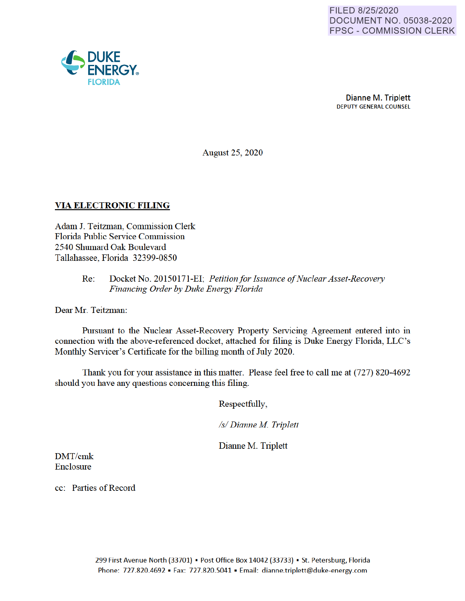

Dianne M. Triplett **DEPUTY GENERAL COUNSEL** 

**August 25, 2020** 

## **VIA ELECTRONIC FILING**

Adam J. Teitzman, Commission Clerk Florida Public Service Commission 2540 Shumard Oak Boulevard Tallahassee, Florida 32399-0850

> Docket No. 20150171-EI; Petition for Issuance of Nuclear Asset-Recovery  $Re:$ Financing Order by Duke Energy Florida

Dear Mr. Teitzman:

Pursuant to the Nuclear Asset-Recovery Property Servicing Agreement entered into in connection with the above-referenced docket, attached for filing is Duke Energy Florida, LLC's Monthly Servicer's Certificate for the billing month of July 2020.

Thank you for your assistance in this matter. Please feel free to call me at (727) 820-4692 should you have any questions concerning this filing.

Respectfully,

/s/ Dianne M. Triplett

Dianne M. Triplett

DMT/cmk Enclosure

cc: Parties of Record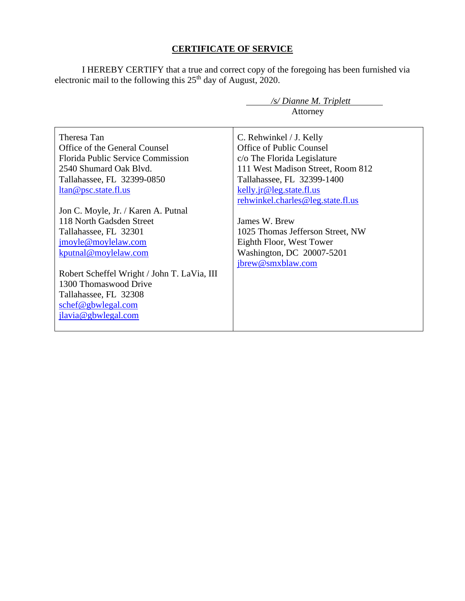# **CERTIFICATE OF SERVICE**

I HEREBY CERTIFY that a true and correct copy of the foregoing has been furnished via electronic mail to the following this  $25<sup>th</sup>$  day of August, 2020.

 */s/ Dianne M. Triplett*

|                                                                                                                                                                                                                                                                                       | Attorney                                                                                                                                                                          |
|---------------------------------------------------------------------------------------------------------------------------------------------------------------------------------------------------------------------------------------------------------------------------------------|-----------------------------------------------------------------------------------------------------------------------------------------------------------------------------------|
| Theresa Tan<br>Office of the General Counsel<br><b>Florida Public Service Commission</b><br>2540 Shumard Oak Blvd.<br>Tallahassee, FL 32399-0850<br><u>ltan@psc.state.fl.us</u>                                                                                                       | C. Rehwinkel / J. Kelly<br>Office of Public Counsel<br>c/o The Florida Legislature<br>111 West Madison Street, Room 812<br>Tallahassee, FL 32399-1400<br>kelly.jr@leg.state.fl.us |
| Jon C. Moyle, Jr. / Karen A. Putnal<br>118 North Gadsden Street<br>Tallahassee, FL 32301<br>jmoyle@moylelaw.com<br>kputnal@moylelaw.com<br>Robert Scheffel Wright / John T. LaVia, III<br>1300 Thomaswood Drive<br>Tallahassee, FL 32308<br>schef@gbwlegal.com<br>jlavia@gbwlegal.com | rehwinkel.charles@leg.state.fl.us<br>James W. Brew<br>1025 Thomas Jefferson Street, NW<br>Eighth Floor, West Tower<br>Washington, DC 20007-5201<br>jbrew@smxblaw.com              |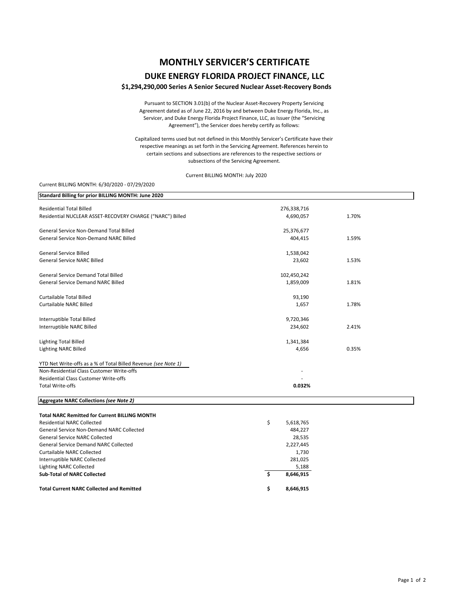# **MONTHLY SERVICER'S CERTIFICATE**

## **DUKE ENERGY FLORIDA PROJECT FINANCE, LLC**

### **\$1,294,290,000 Series A Senior Secured Nuclear Asset‐Recovery Bonds**

Pursuant to SECTION 3.01(b) of the Nuclear Asset‐Recovery Property Servicing Agreement dated as of June 22, 2016 by and between Duke Energy Florida, Inc., as Servicer, and Duke Energy Florida Project Finance, LLC, as Issuer (the "Servicing Agreement"), the Servicer does hereby certify as follows:

Capitalized terms used but not defined in this Monthly Servicer's Certificate have their respective meanings as set forth in the Servicing Agreement. References herein to certain sections and subsections are references to the respective sections or subsections of the Servicing Agreement.

Current BILLING MONTH: July 2020

#### Current BILLING MONTH: 6/30/2020 ‐ 07/29/2020

| Standard Billing for prior BILLING MONTH: June 2020            |                 |       |
|----------------------------------------------------------------|-----------------|-------|
| <b>Residential Total Billed</b>                                | 276,338,716     |       |
| Residential NUCLEAR ASSET-RECOVERY CHARGE ("NARC") Billed      | 4,690,057       | 1.70% |
| General Service Non-Demand Total Billed                        | 25,376,677      |       |
| <b>General Service Non-Demand NARC Billed</b>                  | 404,415         | 1.59% |
| <b>General Service Billed</b>                                  | 1,538,042       |       |
| <b>General Service NARC Billed</b>                             | 23,602          | 1.53% |
| General Service Demand Total Billed                            | 102,450,242     |       |
| <b>General Service Demand NARC Billed</b>                      | 1,859,009       | 1.81% |
| <b>Curtailable Total Billed</b>                                | 93,190          |       |
| <b>Curtailable NARC Billed</b>                                 | 1,657           | 1.78% |
| Interruptible Total Billed                                     | 9,720,346       |       |
| Interruptible NARC Billed                                      | 234,602         | 2.41% |
| <b>Lighting Total Billed</b>                                   | 1,341,384       |       |
| <b>Lighting NARC Billed</b>                                    | 4,656           | 0.35% |
| YTD Net Write-offs as a % of Total Billed Revenue (see Note 1) |                 |       |
| Non-Residential Class Customer Write-offs                      |                 |       |
| <b>Residential Class Customer Write-offs</b>                   |                 |       |
| <b>Total Write-offs</b>                                        | 0.032%          |       |
| Aggregate NARC Collections (see Note 2)                        |                 |       |
| <b>Total NARC Remitted for Current BILLING MONTH</b>           |                 |       |
| <b>Residential NARC Collected</b>                              | \$<br>5,618,765 |       |
| General Service Non-Demand NARC Collected                      | 484,227         |       |
| <b>General Service NARC Collected</b>                          | 28,535          |       |
| <b>General Service Demand NARC Collected</b>                   | 2,227,445       |       |
| <b>Curtailable NARC Collected</b>                              | 1,730           |       |
| Interruptible NARC Collected                                   | 281,025         |       |
| <b>Lighting NARC Collected</b>                                 | 5,188           |       |
| <b>Sub-Total of NARC Collected</b>                             | Ŝ.<br>8,646,915 |       |
| <b>Total Current NARC Collected and Remitted</b>               | \$<br>8,646,915 |       |